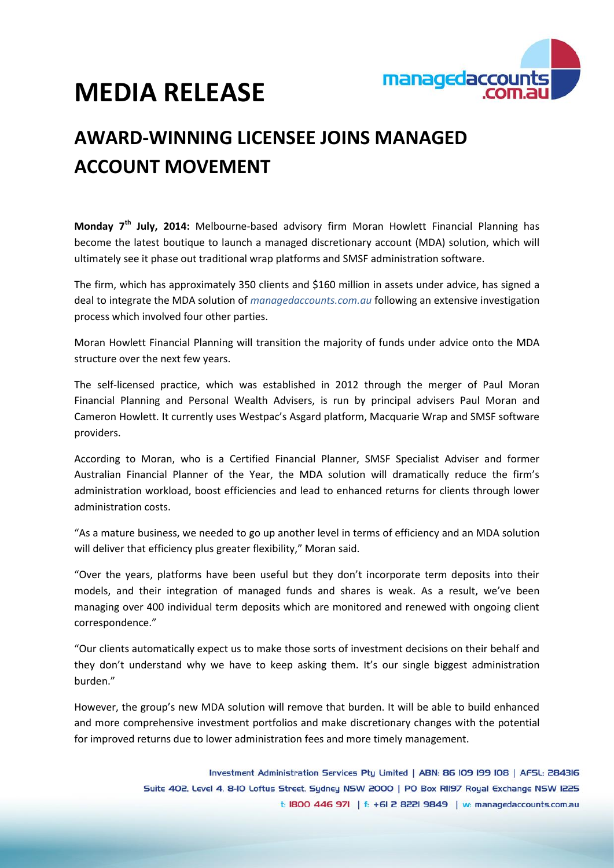

# **MEDIA RELEASE**

## **AWARD-WINNING LICENSEE JOINS MANAGED ACCOUNT MOVEMENT**

**Monday 7th July, 2014:** Melbourne-based advisory firm Moran Howlett Financial Planning has become the latest boutique to launch a managed discretionary account (MDA) solution, which will ultimately see it phase out traditional wrap platforms and SMSF administration software.

The firm, which has approximately 350 clients and \$160 million in assets under advice, has signed a deal to integrate the MDA solution of *managedaccounts.com.au* following an extensive investigation process which involved four other parties.

Moran Howlett Financial Planning will transition the majority of funds under advice onto the MDA structure over the next few years.

The self-licensed practice, which was established in 2012 through the merger of Paul Moran Financial Planning and Personal Wealth Advisers, is run by principal advisers Paul Moran and Cameron Howlett. It currently uses Westpac's Asgard platform, Macquarie Wrap and SMSF software providers.

According to Moran, who is a Certified Financial Planner, SMSF Specialist Adviser and former Australian Financial Planner of the Year, the MDA solution will dramatically reduce the firm's administration workload, boost efficiencies and lead to enhanced returns for clients through lower administration costs.

"As a mature business, we needed to go up another level in terms of efficiency and an MDA solution will deliver that efficiency plus greater flexibility," Moran said.

"Over the years, platforms have been useful but they don't incorporate term deposits into their models, and their integration of managed funds and shares is weak. As a result, we've been managing over 400 individual term deposits which are monitored and renewed with ongoing client correspondence."

"Our clients automatically expect us to make those sorts of investment decisions on their behalf and they don't understand why we have to keep asking them. It's our single biggest administration burden."

However, the group's new MDA solution will remove that burden. It will be able to build enhanced and more comprehensive investment portfolios and make discretionary changes with the potential for improved returns due to lower administration fees and more timely management.

> Investment Administration Services Pty Limited | ABN: 86 IO9 I99 IO8 | AFSL: 284316 Suite 402, Level 4, 8-10 Loftus Street, Sudney NSW 2000 | PO Box RII97 Royal Exchange NSW I225 t: 1800 446 971 | f: +61 2 8221 9849 | w: managedaccounts.com.au